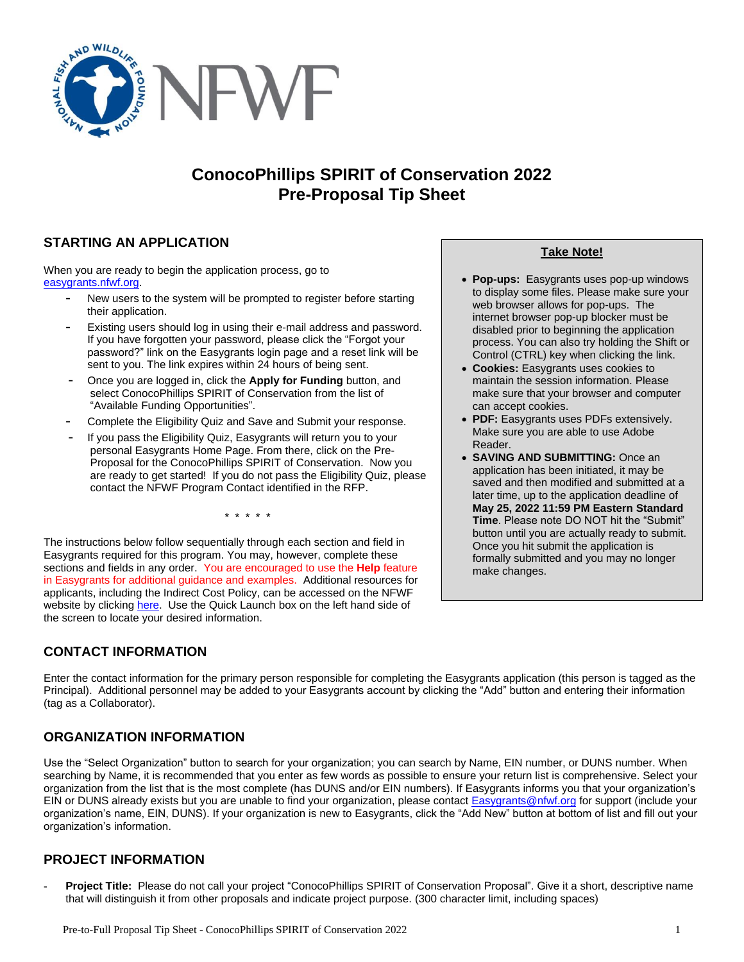

# **ConocoPhillips SPIRIT of Conservation 2022 Pre-Proposal Tip Sheet**

# **STARTING AN APPLICATION**

When you are ready to begin the application process, go to [easygrants.nfwf.org.](https://easygrants.nfwf.org/)

- New users to the system will be prompted to register before starting their application.
- Existing users should log in using their e-mail address and password. If you have forgotten your password, please click the "Forgot your password?" link on the Easygrants login page and a reset link will be sent to you. The link expires within 24 hours of being sent.
- Once you are logged in, click the **Apply for Funding** button, and select ConocoPhillips SPIRIT of Conservation from the list of "Available Funding Opportunities".
- Complete the Eligibility Quiz and Save and Submit your response.
- If you pass the Eligibility Quiz, Easygrants will return you to your personal Easygrants Home Page. From there, click on the Pre-Proposal for the ConocoPhillips SPIRIT of Conservation. Now you are ready to get started! If you do not pass the Eligibility Quiz, please contact the NFWF Program Contact identified in the RFP.

\* \* \* \* \*

The instructions below follow sequentially through each section and field in Easygrants required for this program. You may, however, complete these sections and fields in any order. You are encouraged to use the **Help** feature in Easygrants for additional guidance and examples. Additional resources for applicants, including the Indirect Cost Policy, can be accessed on the NFWF website by clicking [here.](http://www.nfwf.org/whatwedo/grants/applicants/Pages/home.aspx) Use the Quick Launch box on the left hand side of the screen to locate your desired information.

# **CONTACT INFORMATION**

**Take Note!**

- **Pop-ups:** Easygrants uses pop-up windows to display some files. Please make sure your web browser allows for pop-ups. The internet browser pop-up blocker must be disabled prior to beginning the application process. You can also try holding the Shift or Control (CTRL) key when clicking the link.
- **Cookies:** Easygrants uses cookies to maintain the session information. Please make sure that your browser and computer can accept cookies.
- **PDF:** Easygrants uses PDFs extensively. Make sure you are able to use Adobe Reader.
- **SAVING AND SUBMITTING:** Once an application has been initiated, it may be saved and then modified and submitted at a later time, up to the application deadline of **May 25, 2022 11:59 PM Eastern Standard Time**. Please note DO NOT hit the "Submit" button until you are actually ready to submit. Once you hit submit the application is formally submitted and you may no longer make changes.

Enter the contact information for the primary person responsible for completing the Easygrants application (this person is tagged as the Principal). Additional personnel may be added to your Easygrants account by clicking the "Add" button and entering their information (tag as a Collaborator).

# **ORGANIZATION INFORMATION**

Use the "Select Organization" button to search for your organization; you can search by Name, EIN number, or DUNS number. When searching by Name, it is recommended that you enter as few words as possible to ensure your return list is comprehensive. Select your organization from the list that is the most complete (has DUNS and/or EIN numbers). If Easygrants informs you that your organization's EIN or DUNS already exists but you are unable to find your organization, please contact **[Easygrants@nfwf.org](mailto:Easygrants@nfwf.org) for support (include your** organization's name, EIN, DUNS). If your organization is new to Easygrants, click the "Add New" button at bottom of list and fill out your organization's information.

# **PROJECT INFORMATION**

- **Project Title:** Please do not call your project "ConocoPhillips SPIRIT of Conservation Proposal". Give it a short, descriptive name that will distinguish it from other proposals and indicate project purpose. (300 character limit, including spaces)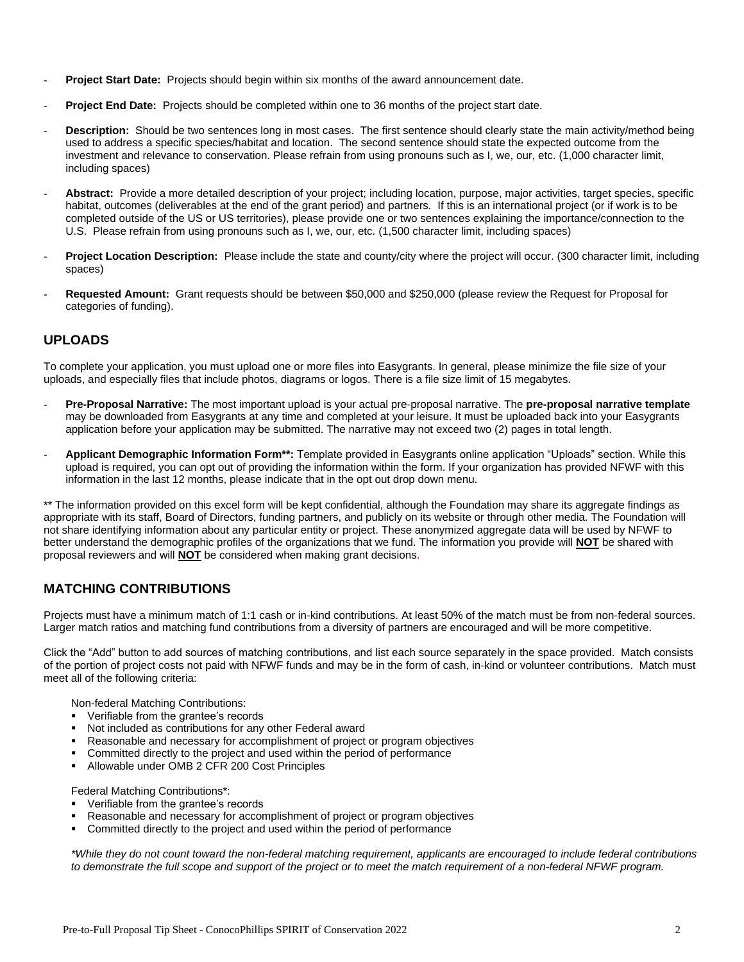- **Project Start Date:** Projects should begin within six months of the award announcement date.
- **Project End Date:** Projects should be completed within one to 36 months of the project start date.
- **Description:** Should be two sentences long in most cases. The first sentence should clearly state the main activity/method being used to address a specific species/habitat and location. The second sentence should state the expected outcome from the investment and relevance to conservation. Please refrain from using pronouns such as I, we, our, etc. (1,000 character limit, including spaces)
- Abstract: Provide a more detailed description of your project; including location, purpose, major activities, target species, specific habitat, outcomes (deliverables at the end of the grant period) and partners. If this is an international project (or if work is to be completed outside of the US or US territories), please provide one or two sentences explaining the importance/connection to the U.S. Please refrain from using pronouns such as I, we, our, etc. (1,500 character limit, including spaces)
- **Project Location Description:** Please include the state and county/city where the project will occur. (300 character limit, including spaces)
- **Requested Amount:** Grant requests should be between \$50,000 and \$250,000 (please review the Request for Proposal for categories of funding).

### **UPLOADS**

To complete your application, you must upload one or more files into Easygrants. In general, please minimize the file size of your uploads, and especially files that include photos, diagrams or logos. There is a file size limit of 15 megabytes.

- **Pre-Proposal Narrative:** The most important upload is your actual pre-proposal narrative. The **pre-proposal narrative template** may be downloaded from Easygrants at any time and completed at your leisure. It must be uploaded back into your Easygrants application before your application may be submitted. The narrative may not exceed two (2) pages in total length.
- **Applicant Demographic Information Form\*\*:** Template provided in Easygrants online application "Uploads" section. While this upload is required, you can opt out of providing the information within the form. If your organization has provided NFWF with this information in the last 12 months, please indicate that in the opt out drop down menu.

\*\* The information provided on this excel form will be kept confidential, although the Foundation may share its aggregate findings as appropriate with its staff, Board of Directors, funding partners, and publicly on its website or through other media. The Foundation will not share identifying information about any particular entity or project. These anonymized aggregate data will be used by NFWF to better understand the demographic profiles of the organizations that we fund. The information you provide will **NOT** be shared with proposal reviewers and will **NOT** be considered when making grant decisions.

# **MATCHING CONTRIBUTIONS**

Projects must have a minimum match of 1:1 cash or in-kind contributions. At least 50% of the match must be from non-federal sources. Larger match ratios and matching fund contributions from a diversity of partners are encouraged and will be more competitive.

Click the "Add" button to add sources of matching contributions, and list each source separately in the space provided. Match consists of the portion of project costs not paid with NFWF funds and may be in the form of cash, in-kind or volunteer contributions. Match must meet all of the following criteria:

Non-federal Matching Contributions:

- Verifiable from the grantee's records
- Not included as contributions for any other Federal award
- Reasonable and necessary for accomplishment of project or program objectives
- Committed directly to the project and used within the period of performance
- Allowable under OMB 2 CFR 200 Cost Principles

Federal Matching Contributions\*:

- Verifiable from the grantee's records
- Reasonable and necessary for accomplishment of project or program objectives
- Committed directly to the project and used within the period of performance

*\*While they do not count toward the non-federal matching requirement, applicants are encouraged to include federal contributions to demonstrate the full scope and support of the project or to meet the match requirement of a non-federal NFWF program.*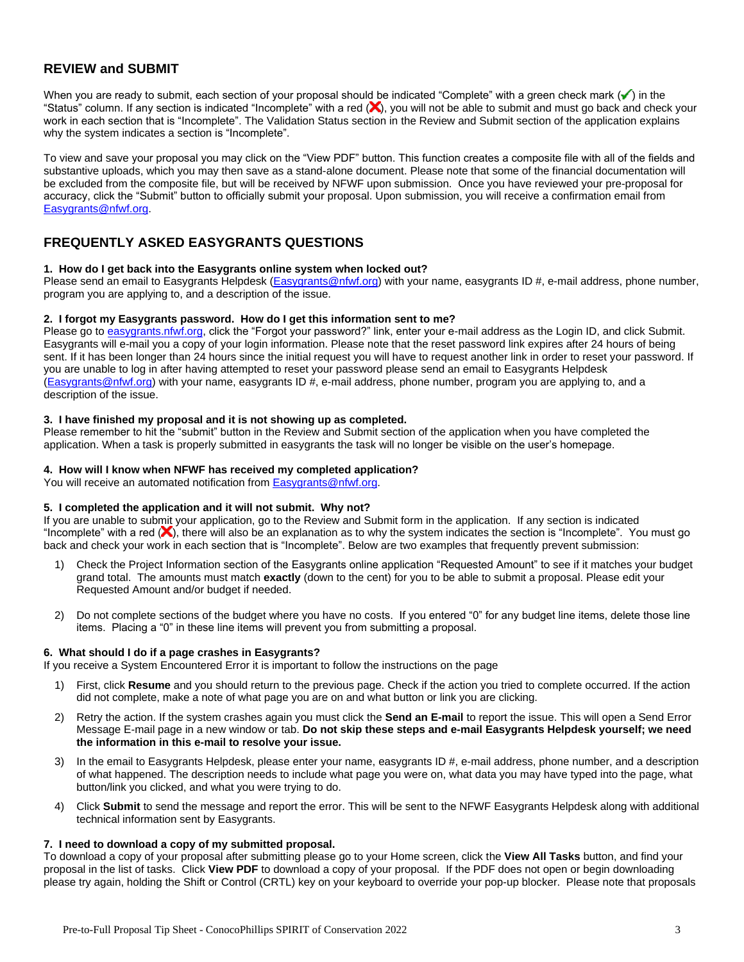### **REVIEW and SUBMIT**

When you are ready to submit, each section of your proposal should be indicated "Complete" with a green check mark  $(\checkmark)$  in the "Status" column. If any section is indicated "Incomplete" with a red  $(x)$ , you will not be able to submit and must go back and check your work in each section that is "Incomplete". The Validation Status section in the Review and Submit section of the application explains why the system indicates a section is "Incomplete".

To view and save your proposal you may click on the "View PDF" button. This function creates a composite file with all of the fields and substantive uploads, which you may then save as a stand-alone document. Please note that some of the financial documentation will be excluded from the composite file, but will be received by NFWF upon submission. Once you have reviewed your pre-proposal for accuracy, click the "Submit" button to officially submit your proposal. Upon submission, you will receive a confirmation email from [Easygrants@nfwf.org.](mailto:Easygrants@nfwf.org)

### **FREQUENTLY ASKED EASYGRANTS QUESTIONS**

### **1. How do I get back into the Easygrants online system when locked out?**

Please send an email to Easygrants Helpdesk [\(Easygrants@nfwf.org\)](mailto:Easygrants@nfwf.org) with your name, easygrants ID #, e-mail address, phone number, program you are applying to, and a description of the issue.

### **2. I forgot my Easygrants password. How do I get this information sent to me?**

Please go to [easygrants.nfwf.org,](https://easygrants.nfwf.org/) click the "Forgot your password?" link, enter your e-mail address as the Login ID, and click Submit. Easygrants will e-mail you a copy of your login information. Please note that the reset password link expires after 24 hours of being sent. If it has been longer than 24 hours since the initial request you will have to request another link in order to reset your password. If you are unable to log in after having attempted to reset your password please send an email to Easygrants Helpdesk [\(Easygrants@nfwf.org\)](mailto:Easygrants@nfwf.org) with your name, easygrants ID #, e-mail address, phone number, program you are applying to, and a description of the issue.

### **3. I have finished my proposal and it is not showing up as completed.**

Please remember to hit the "submit" button in the Review and Submit section of the application when you have completed the application. When a task is properly submitted in easygrants the task will no longer be visible on the user's homepage.

### **4. How will I know when NFWF has received my completed application?**

You will receive an automated notification fro[m Easygrants@nfwf.org.](mailto:Easygrants@nfwf.org)

### **5. I completed the application and it will not submit. Why not?**

If you are unable to submit your application, go to the Review and Submit form in the application.If any section is indicated "Incomplete" with a red  $(X)$ , there will also be an explanation as to why the system indicates the section is "Incomplete". You must go back and check your work in each section that is "Incomplete". Below are two examples that frequently prevent submission:

- 1) Check the Project Information section of the Easygrants online application "Requested Amount" to see if it matches your budget grand total. The amounts must match **exactly** (down to the cent) for you to be able to submit a proposal. Please edit your Requested Amount and/or budget if needed.
- 2) Do not complete sections of the budget where you have no costs. If you entered "0" for any budget line items, delete those line items. Placing a "0" in these line items will prevent you from submitting a proposal.

### **6. What should I do if a page crashes in Easygrants?**

If you receive a System Encountered Error it is important to follow the instructions on the page

- 1) First, click **Resume** and you should return to the previous page. Check if the action you tried to complete occurred. If the action did not complete, make a note of what page you are on and what button or link you are clicking.
- 2) Retry the action. If the system crashes again you must click the **Send an E-mail** to report the issue. This will open a Send Error Message E-mail page in a new window or tab. **Do not skip these steps and e-mail Easygrants Helpdesk yourself; we need the information in this e-mail to resolve your issue.**
- 3) In the email to Easygrants Helpdesk, please enter your name, easygrants ID #, e-mail address, phone number, and a description of what happened. The description needs to include what page you were on, what data you may have typed into the page, what button/link you clicked, and what you were trying to do.
- 4) Click **Submit** to send the message and report the error. This will be sent to the NFWF Easygrants Helpdesk along with additional technical information sent by Easygrants.

### **7. I need to download a copy of my submitted proposal.**

To download a copy of your proposal after submitting please go to your Home screen, click the **View All Tasks** button, and find your proposal in the list of tasks. Click **View PDF** to download a copy of your proposal. If the PDF does not open or begin downloading please try again, holding the Shift or Control (CRTL) key on your keyboard to override your pop-up blocker. Please note that proposals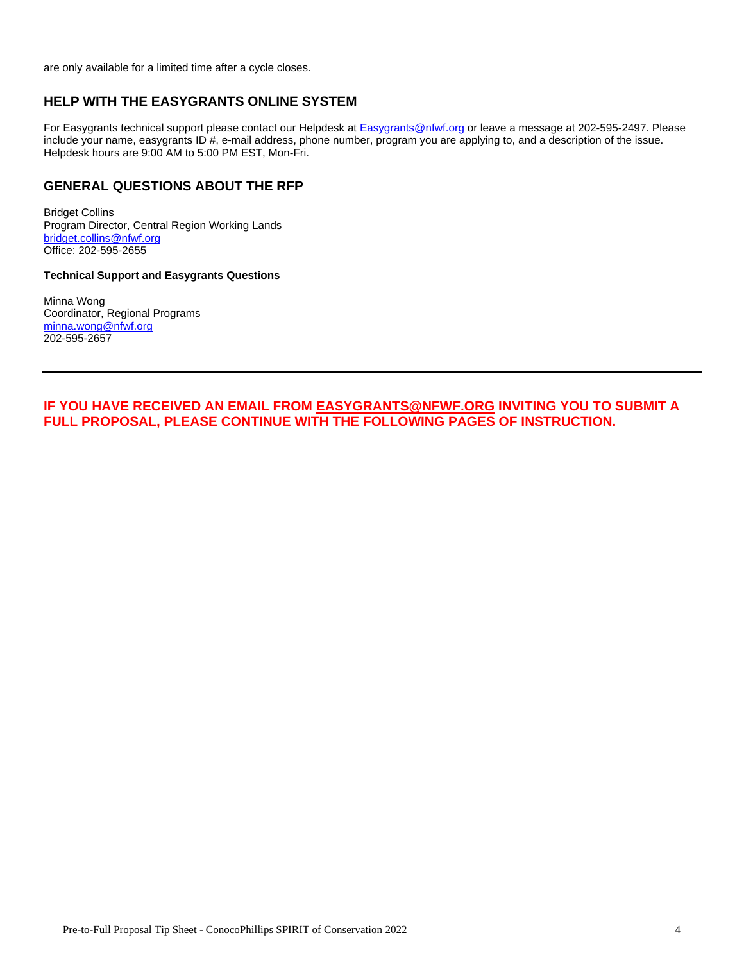are only available for a limited time after a cycle closes.

### **HELP WITH THE EASYGRANTS ONLINE SYSTEM**

For Easygrants technical support please contact our Helpdesk at **Easygrants@nfwf.org** or leave a message at 202-595-2497. Please include your name, easygrants ID #, e-mail address, phone number, program you are applying to, and a description of the issue. Helpdesk hours are 9:00 AM to 5:00 PM EST, Mon-Fri.

### **GENERAL QUESTIONS ABOUT THE RFP**

Bridget Collins Program Director, Central Region Working Lands [bridget.collins@nfwf.org](mailto:bridget.collins@nfwf.org) Office: 202-595-2655

#### **Technical Support and Easygrants Questions**

Minna Wong Coordinator, Regional Programs [minna.wong@nfwf.org](mailto:minna.wong@nfwf.org) 202-595-2657

**IF YOU HAVE RECEIVED AN EMAIL FROM [EASYGRANTS@NFWF.ORG](mailto:EASYGRANTS@NFWF.ORG) INVITING YOU TO SUBMIT A FULL PROPOSAL, PLEASE CONTINUE WITH THE FOLLOWING PAGES OF INSTRUCTION.**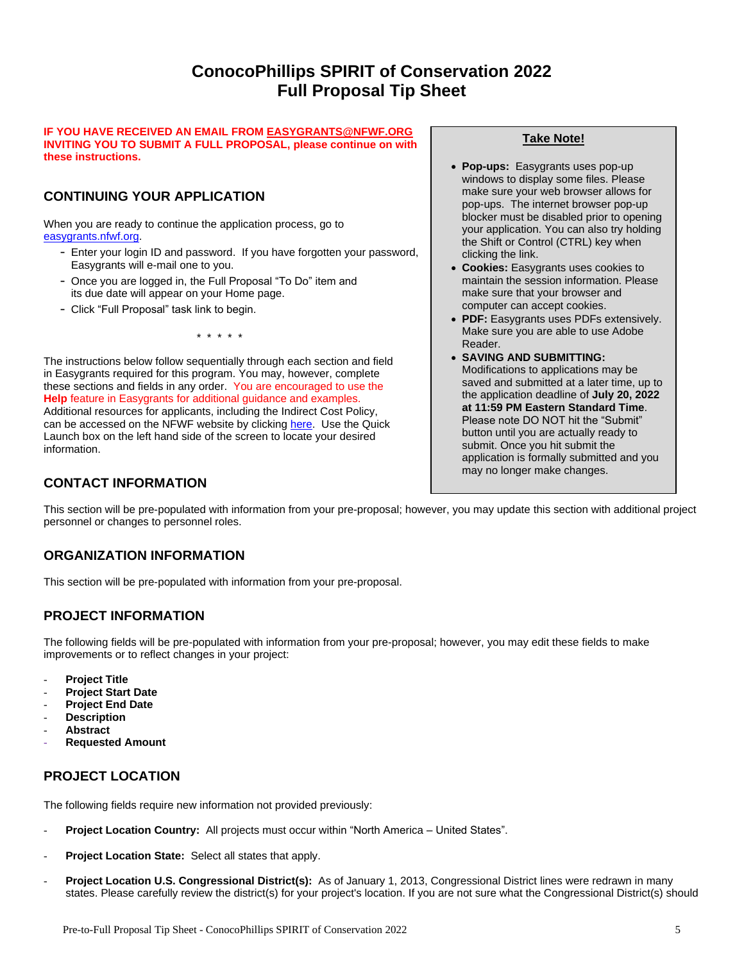# **ConocoPhillips SPIRIT of Conservation 2022 Full Proposal Tip Sheet**

#### **IF YOU HAVE RECEIVED AN EMAIL FRO[M EASYGRANTS@NFWF.ORG](mailto:EASYGRANTS@NFWF.ORG) INVITING YOU TO SUBMIT A FULL PROPOSAL, please continue on with these instructions.**

# **CONTINUING YOUR APPLICATION**

When you are ready to continue the application process, go to [easygrants.nfwf.org.](https://easygrants.nfwf.org/)

- Enter your login ID and password. If you have forgotten your password, Easygrants will e-mail one to you.
- Once you are logged in, the Full Proposal "To Do" item and its due date will appear on your Home page.
- Click "Full Proposal" task link to begin.

\* \* \* \* \*

The instructions below follow sequentially through each section and field in Easygrants required for this program. You may, however, complete these sections and fields in any order. You are encouraged to use the **Help** feature in Easygrants for additional guidance and examples. Additional resources for applicants, including the Indirect Cost Policy, can be accessed on the NFWF website by clicking [here.](http://www.nfwf.org/whatwedo/grants/applicants/Pages/home.aspx) Use the Quick Launch box on the left hand side of the screen to locate your desired information.

# **CONTACT INFORMATION**

### **Take Note!**

- **Pop-ups:** Easygrants uses pop-up windows to display some files. Please make sure your web browser allows for pop-ups. The internet browser pop-up blocker must be disabled prior to opening your application. You can also try holding the Shift or Control (CTRL) key when clicking the link.
- **Cookies:** Easygrants uses cookies to maintain the session information. Please make sure that your browser and computer can accept cookies.
- **PDF:** Easygrants uses PDFs extensively. Make sure you are able to use Adobe Reader.
- **SAVING AND SUBMITTING:**  Modifications to applications may be saved and submitted at a later time, up to the application deadline of **July 20, 2022 at 11:59 PM Eastern Standard Time**. Please note DO NOT hit the "Submit" button until you are actually ready to submit. Once you hit submit the application is formally submitted and you may no longer make changes.

This section will be pre-populated with information from your pre-proposal; however, you may update this section with additional project personnel or changes to personnel roles.

# **ORGANIZATION INFORMATION**

This section will be pre-populated with information from your pre-proposal.

# **PROJECT INFORMATION**

The following fields will be pre-populated with information from your pre-proposal; however, you may edit these fields to make improvements or to reflect changes in your project:

- **Project Title**
- **Project Start Date**
- **Project End Date**
- **Description**
- **Abstract**
- **Requested Amount**

# **PROJECT LOCATION**

The following fields require new information not provided previously:

- Project Location Country: All projects must occur within "North America United States".
- Project Location State: Select all states that apply.
- **Project Location U.S. Congressional District(s):** As of January 1, 2013, Congressional District lines were redrawn in many states. Please carefully review the district(s) for your project's location. If you are not sure what the Congressional District(s) should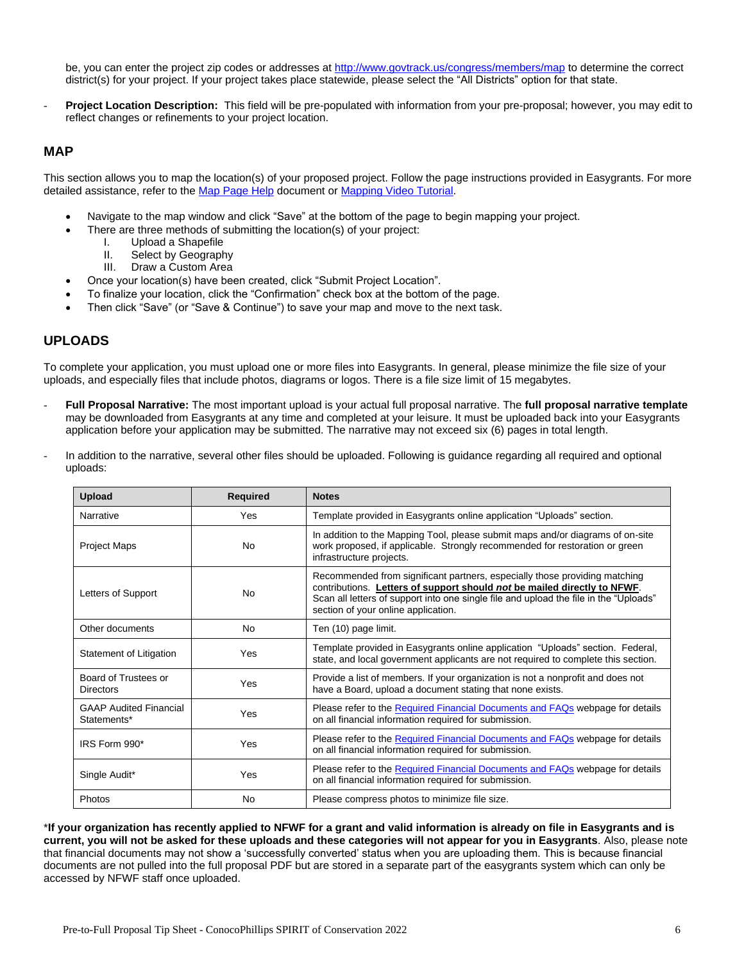be, you can enter the project zip codes or addresse[s at](http://www.govtrack.us/congress/members/map) <http://www.govtrack.us/congress/members/map> to determine the correct district(s) for your project. If your project takes place statewide, please select the "All Districts" option for that state.

**Project Location Description:** This field will be pre-populated with information from your pre-proposal; however, you may edit to reflect changes or refinements to your project location.

### **MAP**

This section allows you to map the location(s) of your proposed project. Follow the page instructions provided in Easygrants. For more detailed assistance, refer to th[e Map Page Help](http://www.nfwf.org/whatwedo/grants/Documents/HelpFile.Proposal.Map.pdf) document o[r Mapping Video Tutorial.](http://www.nfwf.org/whatwedo/grants/applicants/Pages/mapping-tool.aspx#.VfH2mpd1b70)

- Navigate to the map window and click "Save" at the bottom of the page to begin mapping your project.
- There are three methods of submitting the location(s) of your project:
	- I. Upload a Shapefile
	- II. Select by Geography
	- III. Draw a Custom Area
- Once your location(s) have been created, click "Submit Project Location".
- To finalize your location, click the "Confirmation" check box at the bottom of the page.
- Then click "Save" (or "Save & Continue") to save your map and move to the next task.

### **UPLOADS**

To complete your application, you must upload one or more files into Easygrants. In general, please minimize the file size of your uploads, and especially files that include photos, diagrams or logos. There is a file size limit of 15 megabytes.

- **Full Proposal Narrative:** The most important upload is your actual full proposal narrative. The **full proposal narrative template** may be downloaded from Easygrants at any time and completed at your leisure. It must be uploaded back into your Easygrants application before your application may be submitted. The narrative may not exceed six (6) pages in total length.
- In addition to the narrative, several other files should be uploaded. Following is guidance regarding all required and optional uploads:

| <b>Upload</b>                                | <b>Required</b> | <b>Notes</b>                                                                                                                                                                                                                                                                           |
|----------------------------------------------|-----------------|----------------------------------------------------------------------------------------------------------------------------------------------------------------------------------------------------------------------------------------------------------------------------------------|
| Narrative                                    | Yes             | Template provided in Easygrants online application "Uploads" section.                                                                                                                                                                                                                  |
| <b>Project Maps</b>                          | No              | In addition to the Mapping Tool, please submit maps and/or diagrams of on-site<br>work proposed, if applicable. Strongly recommended for restoration or green<br>infrastructure projects.                                                                                              |
| Letters of Support                           | No              | Recommended from significant partners, especially those providing matching<br>contributions. Letters of support should not be mailed directly to NFWF.<br>Scan all letters of support into one single file and upload the file in the "Uploads"<br>section of your online application. |
| Other documents                              | No              | Ten (10) page limit.                                                                                                                                                                                                                                                                   |
| Statement of Litigation                      | Yes             | Template provided in Easygrants online application "Uploads" section. Federal,<br>state, and local government applicants are not required to complete this section.                                                                                                                    |
| Board of Trustees or<br><b>Directors</b>     | Yes             | Provide a list of members. If your organization is not a nonprofit and does not<br>have a Board, upload a document stating that none exists.                                                                                                                                           |
| <b>GAAP Audited Financial</b><br>Statements* | Yes             | Please refer to the Required Financial Documents and FAQs webpage for details<br>on all financial information required for submission.                                                                                                                                                 |
| IRS Form 990*                                | Yes             | Please refer to the Required Financial Documents and FAQs webpage for details<br>on all financial information required for submission.                                                                                                                                                 |
| Single Audit*                                | Yes             | Please refer to the Required Financial Documents and FAQs webpage for details<br>on all financial information required for submission.                                                                                                                                                 |
| Photos                                       | No              | Please compress photos to minimize file size.                                                                                                                                                                                                                                          |

\***If your organization has recently applied to NFWF for a grant and valid information is already on file in Easygrants and is current, you will not be asked for these uploads and these categories will not appear for you in Easygrants**. Also, please note that financial documents may not show a 'successfully converted' status when you are uploading them. This is because financial documents are not pulled into the full proposal PDF but are stored in a separate part of the easygrants system which can only be accessed by NFWF staff once uploaded.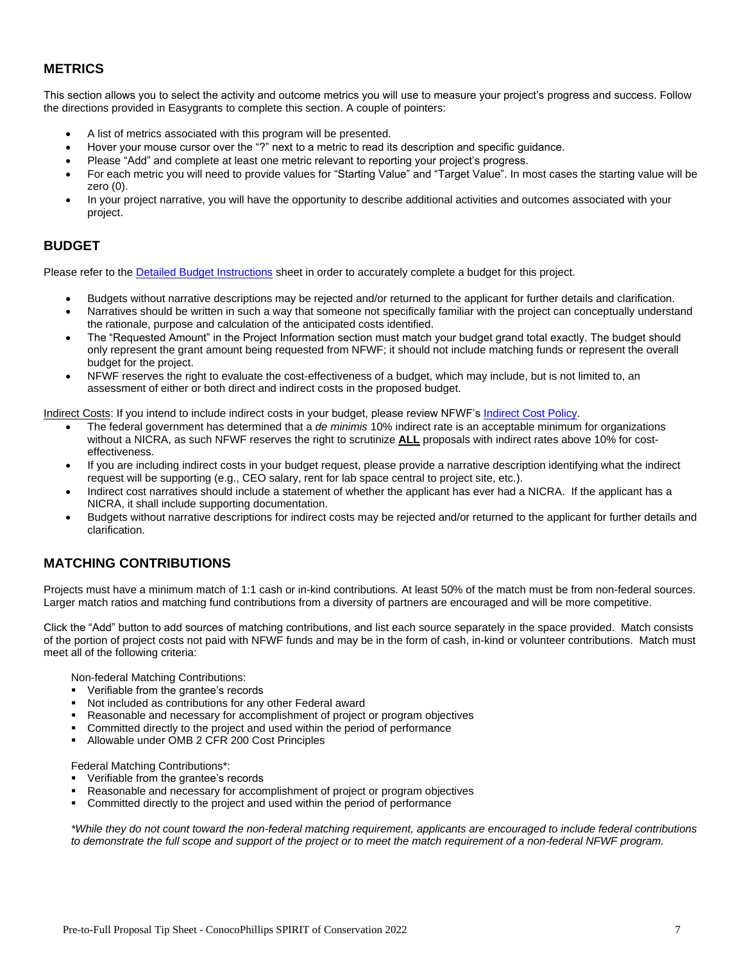# **METRICS**

This section allows you to select the activity and outcome metrics you will use to measure your project's progress and success. Follow the directions provided in Easygrants to complete this section. A couple of pointers:

- A list of metrics associated with this program will be presented.
- Hover your mouse cursor over the "?" next to a metric to read its description and specific guidance.
- Please "Add" and complete at least one metric relevant to reporting your project's progress.
- For each metric you will need to provide values for "Starting Value" and "Target Value". In most cases the starting value will be zero (0).
- In your project narrative, you will have the opportunity to describe additional activities and outcomes associated with your project.

## **BUDGET**

Please refer to the [Detailed Budget Instructions](http://www.nfwf.org/whatwedo/grants/applicants/Pages/budget-instructions.aspx) sheet in order to accurately complete a budget for this project.

- Budgets without narrative descriptions may be rejected and/or returned to the applicant for further details and clarification.
- Narratives should be written in such a way that someone not specifically familiar with the project can conceptually understand the rationale, purpose and calculation of the anticipated costs identified.
- The "Requested Amount" in the Project Information section must match your budget grand total exactly. The budget should only represent the grant amount being requested from NFWF; it should not include matching funds or represent the overall budget for the project.
- NFWF reserves the right to evaluate the cost-effectiveness of a budget, which may include, but is not limited to, an assessment of either or both direct and indirect costs in the proposed budget.

Indirect Costs: If you intend to include indirect costs in your budget, please review NFWF's [Indirect Cost Policy.](http://www.nfwf.org/whatwedo/grants/applicants/Pages/indirect-policy.aspx)

- The federal government has determined that a *de minimis* 10% indirect rate is an acceptable minimum for organizations without a NICRA, as such NFWF reserves the right to scrutinize **ALL** proposals with indirect rates above 10% for costeffectiveness.
- If you are including indirect costs in your budget request, please provide a narrative description identifying what the indirect request will be supporting (e.g., CEO salary, rent for lab space central to project site, etc.).
- Indirect cost narratives should include a statement of whether the applicant has ever had a NICRA. If the applicant has a NICRA, it shall include supporting documentation.
- Budgets without narrative descriptions for indirect costs may be rejected and/or returned to the applicant for further details and clarification.

# **MATCHING CONTRIBUTIONS**

Projects must have a minimum match of 1:1 cash or in-kind contributions. At least 50% of the match must be from non-federal sources. Larger match ratios and matching fund contributions from a diversity of partners are encouraged and will be more competitive.

Click the "Add" button to add sources of matching contributions, and list each source separately in the space provided. Match consists of the portion of project costs not paid with NFWF funds and may be in the form of cash, in-kind or volunteer contributions. Match must meet all of the following criteria:

Non-federal Matching Contributions:

- Verifiable from the grantee's records
- Not included as contributions for any other Federal award
- Reasonable and necessary for accomplishment of project or program objectives
- Committed directly to the project and used within the period of performance
- Allowable under OMB 2 CFR 200 Cost Principles

Federal Matching Contributions\*:

- Verifiable from the grantee's records
- Reasonable and necessary for accomplishment of project or program objectives
- Committed directly to the project and used within the period of performance

*\*While they do not count toward the non-federal matching requirement, applicants are encouraged to include federal contributions to demonstrate the full scope and support of the project or to meet the match requirement of a non-federal NFWF program.*